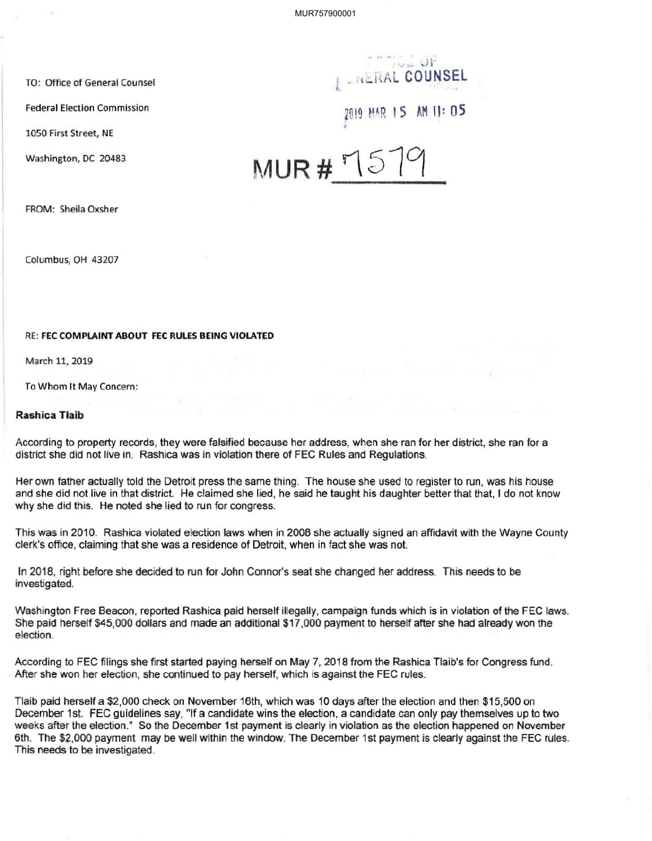MUR757900001

1050 First Street, NE

Washington, DC 20483

 $\sqrt{2}$   $\sqrt{1}$ TO: Office of General Counsel .. !,~hAL **COUNSEL**

Federal Election Commission 2019 The 2019 HAR 15 AM 11: 05

MUR# $15$ 

FROM: Sheila Oxsher

Columbus, OH 43207

## RE: **FEC COMPLAINT ABOUT FEC RULES BEING VIOLATED**

March 11, 2019

To Whom It May Concern:

## **Rashica Tlaib**

According to property records, they were falsified because her address, when she ran for her district, she ran for a district she did not live in. Rashica was in violation there of FEC Rules and Regulations.

Her own father actually told the Detroit press the same thing. The house she used to register to run, was his house and she did not live in that district. He claimed she lied, he said he taught his daughter better that that, I do not know why she did this. He noted she lied to run for congress.

This was in 2010. Rashica violated election laws when in 2008 she actually signed an affidavit with the Wayne County clerk's office, claiming that she was a residence of Detroit, when in fact she was not.

In 2018, right before she decided to run for John Connor's seat she changed her address. This needs to be investigated.

Washington Free Beacon, reported Rashica paid herself illegally, campaign funds which is in violation of the FEC laws. She paid herself \$45,000 dollars and made an additional \$17,000 payment to herself after she had already won the election.

According to FEC filings she first started paying herself on May 7, 2018 from the Rashica Tlaib's for Congress fund. After she won her election, she continued to pay herself, which is against the FEC rules.

Tlaib paid herself a \$2,000 check on November 16th, which was 10 days after the election and then \$15,500 on December 1st. FEC guidelines say, "If a candidate wins the election, a candidate can only pay themselves up to two weeks after the election." So the December 1st payment is clearly in violation as the election happened on November 6th. The \$2,000 payment may be well within the window. The December 1st payment is clearly against the FEC rules. This needs to be investigated.